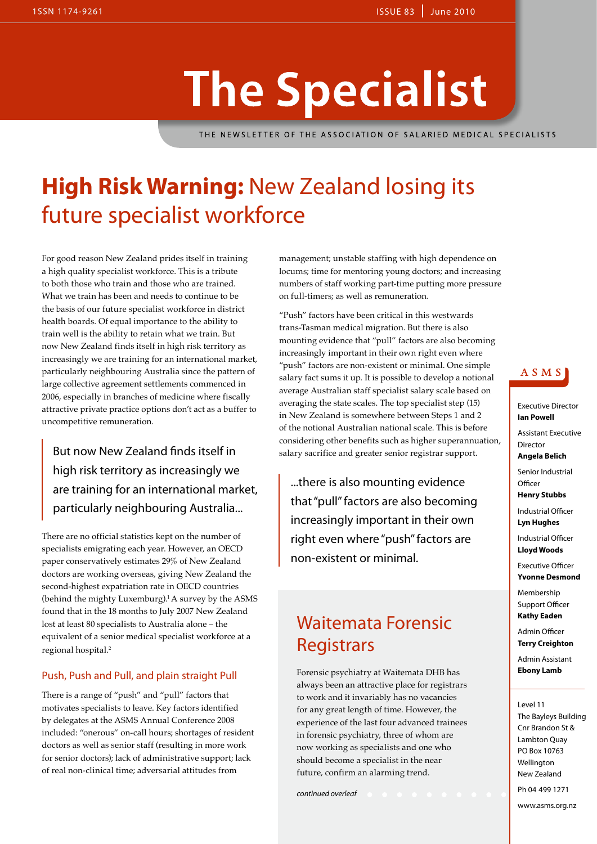## **The Specialist**

THE NEWSLETTER OF THE ASSOCIATION OF SALARIED MEDICAL SPECIALISTS

## **High Risk Warning:** New Zealand losing its future specialist workforce

For good reason New Zealand prides itself in training a high quality specialist workforce. This is a tribute to both those who train and those who are trained. What we train has been and needs to continue to be the basis of our future specialist workforce in district health boards. Of equal importance to the ability to train well is the ability to retain what we train. But now New Zealand finds itself in high risk territory as increasingly we are training for an international market, particularly neighbouring Australia since the pattern of large collective agreement settlements commenced in 2006, especially in branches of medicine where fiscally attractive private practice options don't act as a buffer to uncompetitive remuneration.

But now New Zealand finds itself in high risk territory as increasingly we are training for an international market, particularly neighbouring Australia...

There are no official statistics kept on the number of specialists emigrating each year. However, an OECD paper conservatively estimates 29% of New Zealand doctors are working overseas, giving New Zealand the second-highest expatriation rate in OECD countries (behind the mighty Luxemburg).1 A survey by the ASMS found that in the 18 months to July 2007 New Zealand lost at least 80 specialists to Australia alone – the equivalent of a senior medical specialist workforce at a regional hospital.2

## Push, Push and Pull, and plain straight Pull

There is a range of "push" and "pull" factors that motivates specialists to leave. Key factors identified by delegates at the ASMS Annual Conference 2008 included: "onerous" on-call hours; shortages of resident doctors as well as senior staff (resulting in more work for senior doctors); lack of administrative support; lack of real non-clinical time; adversarial attitudes from

management; unstable staffing with high dependence on locums; time for mentoring young doctors; and increasing numbers of staff working part-time putting more pressure on full-timers; as well as remuneration.

"Push" factors have been critical in this westwards trans-Tasman medical migration. But there is also mounting evidence that "pull" factors are also becoming increasingly important in their own right even where "push" factors are non-existent or minimal. One simple salary fact sums it up. It is possible to develop a notional average Australian staff specialist salary scale based on averaging the state scales. The top specialist step (15) in New Zealand is somewhere between Steps 1 and 2 of the notional Australian national scale. This is before considering other benefits such as higher superannuation, salary sacrifice and greater senior registrar support.

...there is also mounting evidence that "pull" factors are also becoming increasingly important in their own right even where "push" factors are non-existent or minimal.

## Waitemata Forensic **Registrars**

Forensic psychiatry at Waitemata DHB has always been an attractive place for registrars to work and it invariably has no vacancies for any great length of time. However, the experience of the last four advanced trainees in forensic psychiatry, three of whom are now working as specialists and one who should become a specialist in the near future, confirm an alarming trend.

*continued overleaf*

## A S M S

Executive Director **Ian Powell** Assistant Executive Director **Angela Belich**

Senior Industrial **Officer** 

**Henry Stubbs**

Industrial Officer **Lyn Hughes**

Industrial Officer **Lloyd Woods**

Executive Officer **Yvonne Desmond**

Membership

Support Officer **Kathy Eaden**

Admin Officer **Terry Creighton**

Admin Assistant **Ebony Lamb**

#### Level 11

The Bayleys Building Cnr Brandon St & Lambton Quay PO Box 10763 Wellington New Zealand Ph 04 499 1271

www.asms.org.nz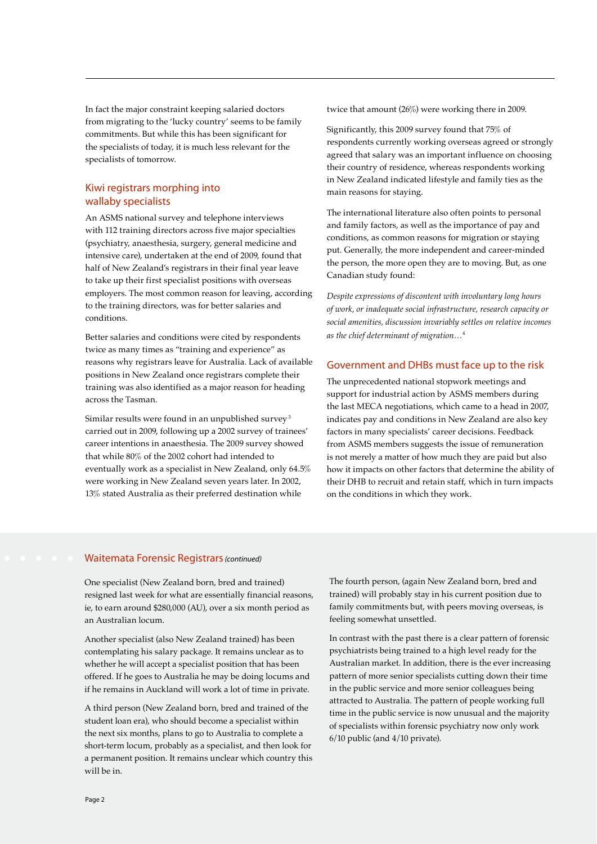In fact the major constraint keeping salaried doctors from migrating to the 'lucky country' seems to be family commitments. But while this has been significant for the specialists of today, it is much less relevant for the specialists of tomorrow.

## Kiwi registrars morphing into wallaby specialists

An ASMS national survey and telephone interviews with 112 training directors across five major specialties (psychiatry, anaesthesia, surgery, general medicine and intensive care), undertaken at the end of 2009, found that half of New Zealand's registrars in their final year leave to take up their first specialist positions with overseas employers. The most common reason for leaving, according to the training directors, was for better salaries and conditions.

Better salaries and conditions were cited by respondents twice as many times as "training and experience" as reasons why registrars leave for Australia. Lack of available positions in New Zealand once registrars complete their training was also identified as a major reason for heading across the Tasman.

Similar results were found in an unpublished survey<sup>3</sup> carried out in 2009, following up a 2002 survey of trainees' career intentions in anaesthesia. The 2009 survey showed that while 80% of the 2002 cohort had intended to eventually work as a specialist in New Zealand, only 64.5% were working in New Zealand seven years later. In 2002, 13% stated Australia as their preferred destination while

twice that amount (26%) were working there in 2009.

Significantly, this 2009 survey found that 75% of respondents currently working overseas agreed or strongly agreed that salary was an important influence on choosing their country of residence, whereas respondents working in New Zealand indicated lifestyle and family ties as the main reasons for staying.

The international literature also often points to personal and family factors, as well as the importance of pay and conditions, as common reasons for migration or staying put. Generally, the more independent and career-minded the person, the more open they are to moving. But, as one Canadian study found:

*Despite expressions of discontent with involuntary long hours of work, or inadequate social infrastructure, research capacity or social amenities, discussion invariably settles on relative incomes as the chief determinant of migration…*<sup>4</sup>

## Government and DHBs must face up to the risk

The unprecedented national stopwork meetings and support for industrial action by ASMS members during the last MECA negotiations, which came to a head in 2007, indicates pay and conditions in New Zealand are also key factors in many specialists' career decisions. Feedback from ASMS members suggests the issue of remuneration is not merely a matter of how much they are paid but also how it impacts on other factors that determine the ability of their DHB to recruit and retain staff, which in turn impacts on the conditions in which they work.

#### Waitemata Forensic Registrars *(continued)*

One specialist (New Zealand born, bred and trained) resigned last week for what are essentially financial reasons, ie, to earn around \$280,000 (AU), over a six month period as an Australian locum.

Another specialist (also New Zealand trained) has been contemplating his salary package. It remains unclear as to whether he will accept a specialist position that has been offered. If he goes to Australia he may be doing locums and if he remains in Auckland will work a lot of time in private.

A third person (New Zealand born, bred and trained of the student loan era), who should become a specialist within the next six months, plans to go to Australia to complete a short-term locum, probably as a specialist, and then look for a permanent position. It remains unclear which country this will be in.

The fourth person, (again New Zealand born, bred and trained) will probably stay in his current position due to family commitments but, with peers moving overseas, is feeling somewhat unsettled.

In contrast with the past there is a clear pattern of forensic psychiatrists being trained to a high level ready for the Australian market. In addition, there is the ever increasing pattern of more senior specialists cutting down their time in the public service and more senior colleagues being attracted to Australia. The pattern of people working full time in the public service is now unusual and the majority of specialists within forensic psychiatry now only work 6/10 public (and 4/10 private).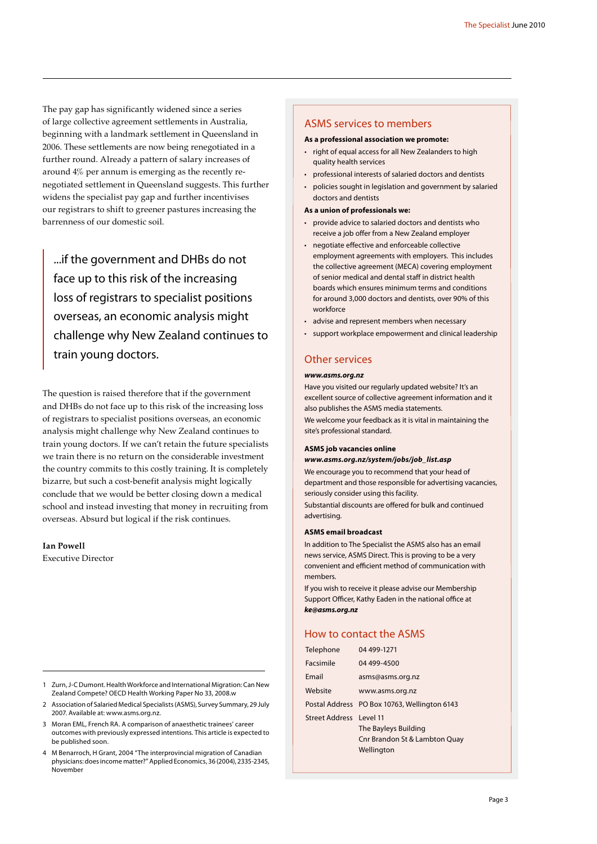The pay gap has significantly widened since a series of large collective agreement settlements in Australia, beginning with a landmark settlement in Queensland in 2006. These settlements are now being renegotiated in a further round. Already a pattern of salary increases of around 4% per annum is emerging as the recently renegotiated settlement in Queensland suggests. This further widens the specialist pay gap and further incentivises our registrars to shift to greener pastures increasing the barrenness of our domestic soil.

...if the government and DHBs do not face up to this risk of the increasing loss of registrars to specialist positions overseas, an economic analysis might challenge why New Zealand continues to train young doctors.

The question is raised therefore that if the government and DHBs do not face up to this risk of the increasing loss of registrars to specialist positions overseas, an economic analysis might challenge why New Zealand continues to train young doctors. If we can't retain the future specialists we train there is no return on the considerable investment the country commits to this costly training. It is completely bizarre, but such a cost-benefit analysis might logically conclude that we would be better closing down a medical school and instead investing that money in recruiting from overseas. Absurd but logical if the risk continues.

#### **Ian Powell**

Executive Director

- 2 Association of Salaried Medical Specialists (ASMS), Survey Summary, 29 July 2007. Available at: www.asms.org.nz.
- 3 Moran EML, French RA. A comparison of anaesthetic trainees' career outcomes with previously expressed intentions. This article is expected to be published soon.
- 4 M Benarroch, H Grant, 2004 "The interprovincial migration of Canadian physicians: does income matter?" Applied Economics, 36 (2004), 2335-2345, November

#### ASMS services to members

#### **As a professional association we promote:**

- right of equal access for all New Zealanders to high quality health services
- professional interests of salaried doctors and dentists
- policies sought in legislation and government by salaried doctors and dentists
- **As a union of professionals we:**
- provide advice to salaried doctors and dentists who receive a job offer from a New Zealand employer
- • negotiate effective and enforceable collective employment agreements with employers. This includes the collective agreement (MECA) covering employment of senior medical and dental staff in district health boards which ensures minimum terms and conditions for around 3,000 doctors and dentists, over 90% of this workforce
- • advise and represent members when necessary
- • support workplace empowerment and clinical leadership

#### Other services

#### *www.asms.org.nz*

Have you visited our regularly updated website? It's an excellent source of collective agreement information and it also publishes the ASMS media statements. We welcome your feedback as it is vital in maintaining the

site's professional standard.

## **ASMS job vacancies online**

## *www.asms.org.nz/system/jobs/job\_list.asp*

We encourage you to recommend that your head of department and those responsible for advertising vacancies, seriously consider using this facility.

Substantial discounts are offered for bulk and continued advertising.

#### **ASMS email broadcast**

In addition to The Specialist the ASMS also has an email news service, ASMS Direct. This is proving to be a very convenient and efficient method of communication with members.

If you wish to receive it please advise our Membership Support Officer, Kathy Eaden in the national office at *ke@asms.org.nz*

## How to contact the ASMS

| Telephone               | 04 499-1271                                  |
|-------------------------|----------------------------------------------|
| <b>Facsimile</b>        | 04 499-4500                                  |
| Fmail                   | asms@asms.org.nz                             |
| Website                 | www.asms.org.nz                              |
|                         | Postal Address PO Box 10763, Wellington 6143 |
| Street Address Level 11 |                                              |
|                         | The Bayleys Building                         |
|                         | Cnr Brandon St & Lambton Quay                |
|                         | Wellington                                   |
|                         |                                              |

<sup>1</sup> Zurn, J-C Dumont. Health Workforce and International Migration: Can New Zealand Compete? OECD Health Working Paper No 33, 2008.w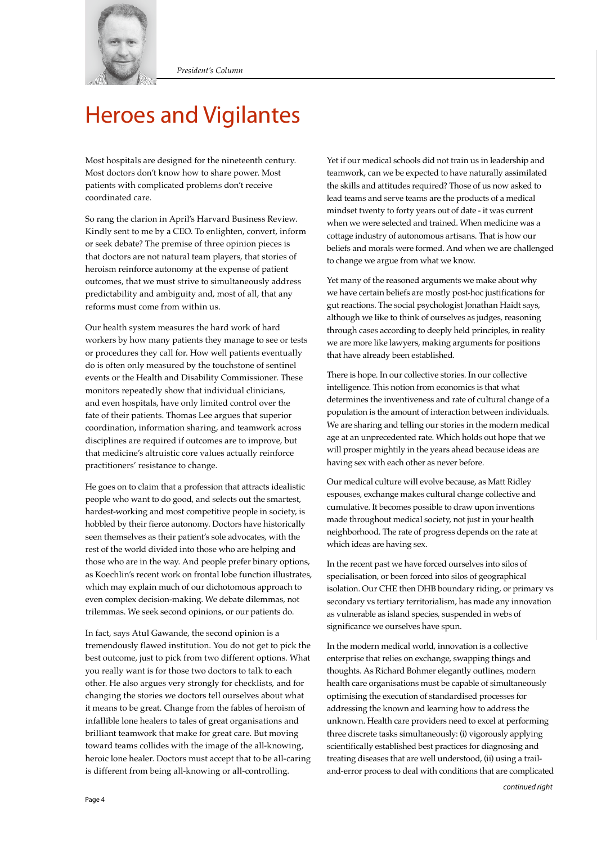

## Heroes and Vigilantes

Most hospitals are designed for the nineteenth century. Most doctors don't know how to share power. Most patients with complicated problems don't receive coordinated care.

So rang the clarion in April's Harvard Business Review. Kindly sent to me by a CEO. To enlighten, convert, inform or seek debate? The premise of three opinion pieces is that doctors are not natural team players, that stories of heroism reinforce autonomy at the expense of patient outcomes, that we must strive to simultaneously address predictability and ambiguity and, most of all, that any reforms must come from within us.

Our health system measures the hard work of hard workers by how many patients they manage to see or tests or procedures they call for. How well patients eventually do is often only measured by the touchstone of sentinel events or the Health and Disability Commissioner. These monitors repeatedly show that individual clinicians, and even hospitals, have only limited control over the fate of their patients. Thomas Lee argues that superior coordination, information sharing, and teamwork across disciplines are required if outcomes are to improve, but that medicine's altruistic core values actually reinforce practitioners' resistance to change.

He goes on to claim that a profession that attracts idealistic people who want to do good, and selects out the smartest, hardest-working and most competitive people in society, is hobbled by their fierce autonomy. Doctors have historically seen themselves as their patient's sole advocates, with the rest of the world divided into those who are helping and those who are in the way. And people prefer binary options, as Koechlin's recent work on frontal lobe function illustrates, which may explain much of our dichotomous approach to even complex decision-making. We debate dilemmas, not trilemmas. We seek second opinions, or our patients do.

In fact, says Atul Gawande, the second opinion is a tremendously flawed institution. You do not get to pick the best outcome, just to pick from two different options. What you really want is for those two doctors to talk to each other. He also argues very strongly for checklists, and for changing the stories we doctors tell ourselves about what it means to be great. Change from the fables of heroism of infallible lone healers to tales of great organisations and brilliant teamwork that make for great care. But moving toward teams collides with the image of the all-knowing, heroic lone healer. Doctors must accept that to be all-caring is different from being all-knowing or all-controlling.

Yet if our medical schools did not train us in leadership and teamwork, can we be expected to have naturally assimilated the skills and attitudes required? Those of us now asked to lead teams and serve teams are the products of a medical mindset twenty to forty years out of date - it was current when we were selected and trained. When medicine was a cottage industry of autonomous artisans. That is how our beliefs and morals were formed. And when we are challenged to change we argue from what we know.

Yet many of the reasoned arguments we make about why we have certain beliefs are mostly post-hoc justifications for gut reactions. The social psychologist Jonathan Haidt says, although we like to think of ourselves as judges, reasoning through cases according to deeply held principles, in reality we are more like lawyers, making arguments for positions that have already been established.

There is hope. In our collective stories. In our collective intelligence. This notion from economics is that what determines the inventiveness and rate of cultural change of a population is the amount of interaction between individuals. We are sharing and telling our stories in the modern medical age at an unprecedented rate. Which holds out hope that we will prosper mightily in the years ahead because ideas are having sex with each other as never before.

Our medical culture will evolve because, as Matt Ridley espouses, exchange makes cultural change collective and cumulative. It becomes possible to draw upon inventions made throughout medical society, not just in your health neighborhood. The rate of progress depends on the rate at which ideas are having sex.

In the recent past we have forced ourselves into silos of specialisation, or been forced into silos of geographical isolation. Our CHE then DHB boundary riding, or primary vs secondary vs tertiary territorialism, has made any innovation as vulnerable as island species, suspended in webs of significance we ourselves have spun.

In the modern medical world, innovation is a collective enterprise that relies on exchange, swapping things and thoughts. As Richard Bohmer elegantly outlines, modern health care organisations must be capable of simultaneously optimising the execution of standardised processes for addressing the known and learning how to address the unknown. Health care providers need to excel at performing three discrete tasks simultaneously: (i) vigorously applying scientifically established best practices for diagnosing and treating diseases that are well understood, (ii) using a trailand-error process to deal with conditions that are complicated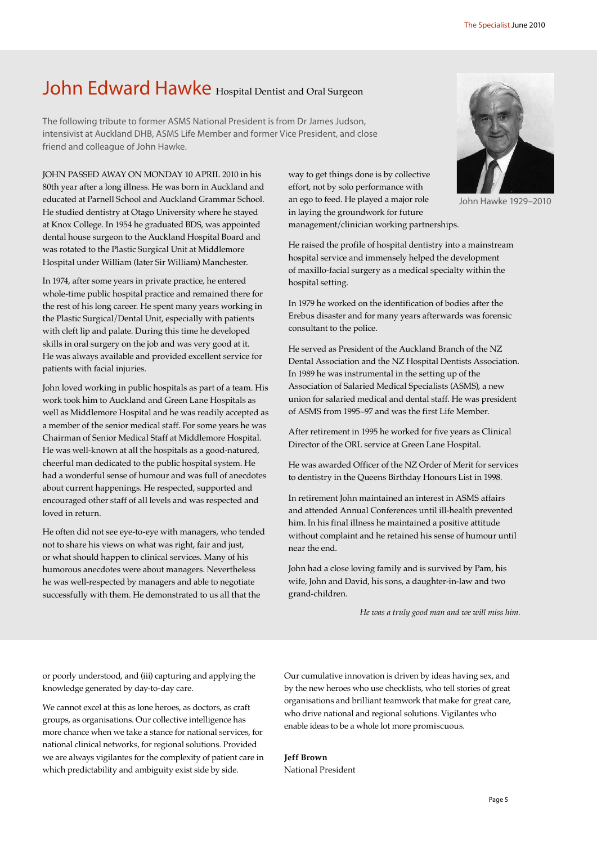## John Edward Hawke Hospital Dentist and Oral Surgeon

The following tribute to former ASMS National President is from Dr James Judson, intensivist at Auckland DHB, ASMS Life Member and former Vice President, and close friend and colleague of John Hawke.

JOHN PASSED AWAY ON MONDAY 10 APRIL 2010 in his 80th year after a long illness. He was born in Auckland and educated at Parnell School and Auckland Grammar School. He studied dentistry at Otago University where he stayed at Knox College. In 1954 he graduated BDS, was appointed dental house surgeon to the Auckland Hospital Board and was rotated to the Plastic Surgical Unit at Middlemore Hospital under William (later Sir William) Manchester.

In 1974, after some years in private practice, he entered whole-time public hospital practice and remained there for the rest of his long career. He spent many years working in the Plastic Surgical/Dental Unit, especially with patients with cleft lip and palate. During this time he developed skills in oral surgery on the job and was very good at it. He was always available and provided excellent service for patients with facial injuries.

John loved working in public hospitals as part of a team. His work took him to Auckland and Green Lane Hospitals as well as Middlemore Hospital and he was readily accepted as a member of the senior medical staff. For some years he was Chairman of Senior Medical Staff at Middlemore Hospital. He was well-known at all the hospitals as a good-natured, cheerful man dedicated to the public hospital system. He had a wonderful sense of humour and was full of anecdotes about current happenings. He respected, supported and encouraged other staff of all levels and was respected and loved in return.

He often did not see eye-to-eye with managers, who tended not to share his views on what was right, fair and just, or what should happen to clinical services. Many of his humorous anecdotes were about managers. Nevertheless he was well-respected by managers and able to negotiate successfully with them. He demonstrated to us all that the

way to get things done is by collective effort, not by solo performance with an ego to feed. He played a major role in laying the groundwork for future management/clinician working partnerships.

He raised the profile of hospital dentistry into a mainstream hospital service and immensely helped the development of maxillo-facial surgery as a medical specialty within the hospital setting.

In 1979 he worked on the identification of bodies after the Erebus disaster and for many years afterwards was forensic consultant to the police.

He served as President of the Auckland Branch of the NZ Dental Association and the NZ Hospital Dentists Association. In 1989 he was instrumental in the setting up of the Association of Salaried Medical Specialists (ASMS), a new union for salaried medical and dental staff. He was president of ASMS from 1995–97 and was the first Life Member.

After retirement in 1995 he worked for five years as Clinical Director of the ORL service at Green Lane Hospital.

He was awarded Officer of the NZ Order of Merit for services to dentistry in the Queens Birthday Honours List in 1998.

In retirement John maintained an interest in ASMS affairs and attended Annual Conferences until ill-health prevented him. In his final illness he maintained a positive attitude without complaint and he retained his sense of humour until near the end.

John had a close loving family and is survived by Pam, his wife, John and David, his sons, a daughter-in-law and two grand-children.

*He was a truly good man and we will miss him.*

or poorly understood, and (iii) capturing and applying the knowledge generated by day-to-day care.

We cannot excel at this as lone heroes, as doctors, as craft groups, as organisations. Our collective intelligence has more chance when we take a stance for national services, for national clinical networks, for regional solutions. Provided we are always vigilantes for the complexity of patient care in which predictability and ambiguity exist side by side.

Our cumulative innovation is driven by ideas having sex, and by the new heroes who use checklists, who tell stories of great organisations and brilliant teamwork that make for great care, who drive national and regional solutions. Vigilantes who enable ideas to be a whole lot more promiscuous.

**Jeff Brown**

National President



John Hawke 1929–2010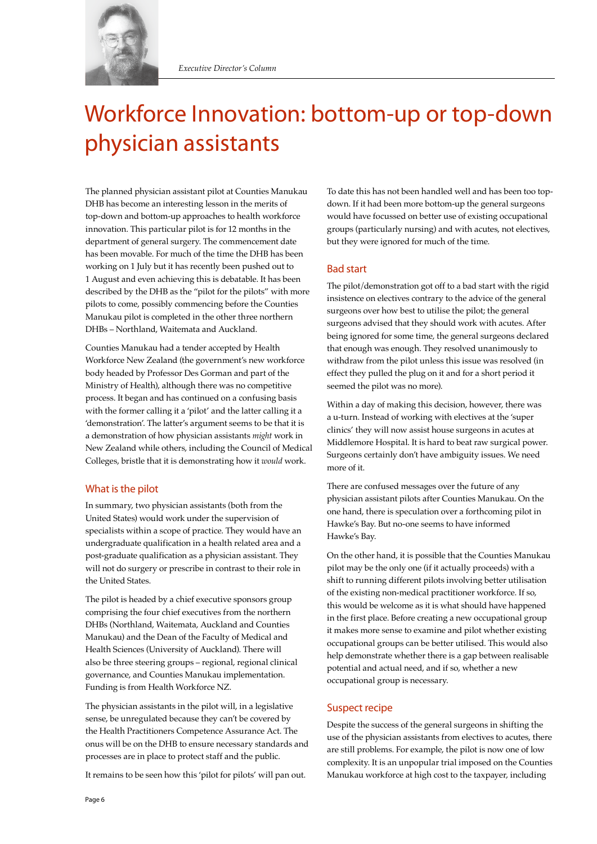

## Workforce Innovation: bottom-up or top-down physician assistants

The planned physician assistant pilot at Counties Manukau DHB has become an interesting lesson in the merits of top-down and bottom-up approaches to health workforce innovation. This particular pilot is for 12 months in the department of general surgery. The commencement date has been movable. For much of the time the DHB has been working on 1 July but it has recently been pushed out to 1 August and even achieving this is debatable. It has been described by the DHB as the "pilot for the pilots" with more pilots to come, possibly commencing before the Counties Manukau pilot is completed in the other three northern DHBs – Northland, Waitemata and Auckland.

Counties Manukau had a tender accepted by Health Workforce New Zealand (the government's new workforce body headed by Professor Des Gorman and part of the Ministry of Health), although there was no competitive process. It began and has continued on a confusing basis with the former calling it a 'pilot' and the latter calling it a 'demonstration'. The latter's argument seems to be that it is a demonstration of how physician assistants *might* work in New Zealand while others, including the Council of Medical Colleges, bristle that it is demonstrating how it *would* work.

## What is the pilot

In summary, two physician assistants (both from the United States) would work under the supervision of specialists within a scope of practice. They would have an undergraduate qualification in a health related area and a post-graduate qualification as a physician assistant. They will not do surgery or prescribe in contrast to their role in the United States.

The pilot is headed by a chief executive sponsors group comprising the four chief executives from the northern DHBs (Northland, Waitemata, Auckland and Counties Manukau) and the Dean of the Faculty of Medical and Health Sciences (University of Auckland). There will also be three steering groups – regional, regional clinical governance, and Counties Manukau implementation. Funding is from Health Workforce NZ.

The physician assistants in the pilot will, in a legislative sense, be unregulated because they can't be covered by the Health Practitioners Competence Assurance Act. The onus will be on the DHB to ensure necessary standards and processes are in place to protect staff and the public.

It remains to be seen how this 'pilot for pilots' will pan out.

To date this has not been handled well and has been too topdown. If it had been more bottom-up the general surgeons would have focussed on better use of existing occupational groups (particularly nursing) and with acutes, not electives, but they were ignored for much of the time.

## Bad start

The pilot/demonstration got off to a bad start with the rigid insistence on electives contrary to the advice of the general surgeons over how best to utilise the pilot; the general surgeons advised that they should work with acutes. After being ignored for some time, the general surgeons declared that enough was enough. They resolved unanimously to withdraw from the pilot unless this issue was resolved (in effect they pulled the plug on it and for a short period it seemed the pilot was no more).

Within a day of making this decision, however, there was a u-turn. Instead of working with electives at the 'super clinics' they will now assist house surgeons in acutes at Middlemore Hospital. It is hard to beat raw surgical power. Surgeons certainly don't have ambiguity issues. We need more of it.

There are confused messages over the future of any physician assistant pilots after Counties Manukau. On the one hand, there is speculation over a forthcoming pilot in Hawke's Bay. But no-one seems to have informed Hawke's Bay.

On the other hand, it is possible that the Counties Manukau pilot may be the only one (if it actually proceeds) with a shift to running different pilots involving better utilisation of the existing non-medical practitioner workforce. If so, this would be welcome as it is what should have happened in the first place. Before creating a new occupational group it makes more sense to examine and pilot whether existing occupational groups can be better utilised. This would also help demonstrate whether there is a gap between realisable potential and actual need, and if so, whether a new occupational group is necessary.

## Suspect recipe

Despite the success of the general surgeons in shifting the use of the physician assistants from electives to acutes, there are still problems. For example, the pilot is now one of low complexity. It is an unpopular trial imposed on the Counties Manukau workforce at high cost to the taxpayer, including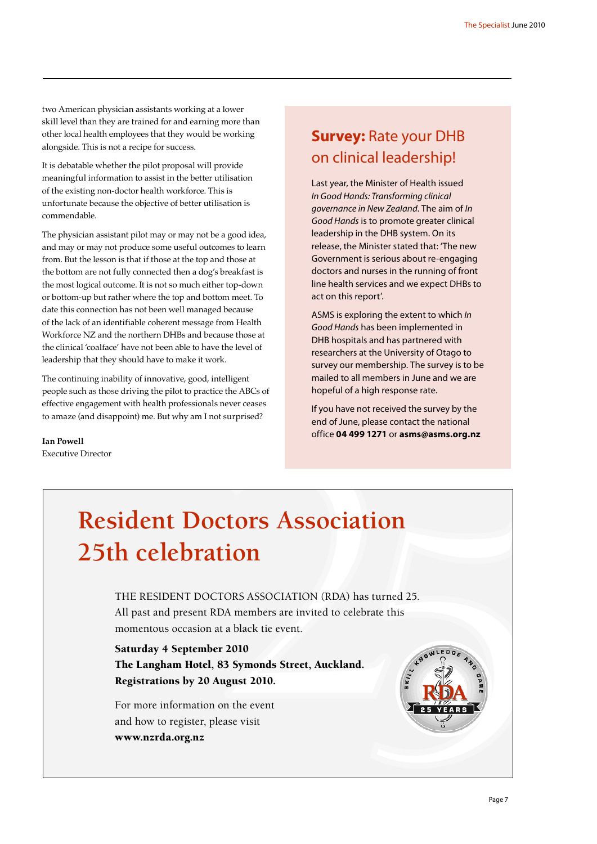two American physician assistants working at a lower skill level than they are trained for and earning more than other local health employees that they would be working alongside. This is not a recipe for success.

It is debatable whether the pilot proposal will provide meaningful information to assist in the better utilisation of the existing non-doctor health workforce. This is unfortunate because the objective of better utilisation is commendable.

The physician assistant pilot may or may not be a good idea, and may or may not produce some useful outcomes to learn from. But the lesson is that if those at the top and those at the bottom are not fully connected then a dog's breakfast is the most logical outcome. It is not so much either top-down or bottom-up but rather where the top and bottom meet. To date this connection has not been well managed because of the lack of an identifiable coherent message from Health Workforce NZ and the northern DHBs and because those at the clinical 'coalface' have not been able to have the level of leadership that they should have to make it work.

The continuing inability of innovative, good, intelligent people such as those driving the pilot to practice the ABCs of effective engagement with health professionals never ceases to amaze (and disappoint) me. But why am I not surprised?

**Ian Powell** Executive Director

## **Survey:** Rate your DHB on clinical leadership!

Last year, the Minister of Health issued *In Good Hands: Transforming clinical governance in New Zealand*. The aim of *In Good Hands* is to promote greater clinical leadership in the DHB system. On its release, the Minister stated that: 'The new Government is serious about re-engaging doctors and nurses in the running of front line health services and we expect DHBs to act on this report'.

ASMS is exploring the extent to which *In Good Hands* has been implemented in DHB hospitals and has partnered with researchers at the University of Otago to survey our membership. The survey is to be mailed to all members in June and we are hopeful of a high response rate.

If you have not received the survey by the end of June, please contact the national office **04 499 1271** or **asms@asms.org.nz**

## **Resident Doctors Association 25th celebration**

THE RESIDENT DOCTORS ASSOCIATION (RDA) has turned 25. All past and present RDA members are invited to celebrate this momentous occasion at a black tie event.

## Saturday 4 September 2010 The Langham Hotel, 83 Symonds Street, Auckland. Registrations by 20 August 2010.

For more information on the event and how to register, please visit www.nzrda.org.nz

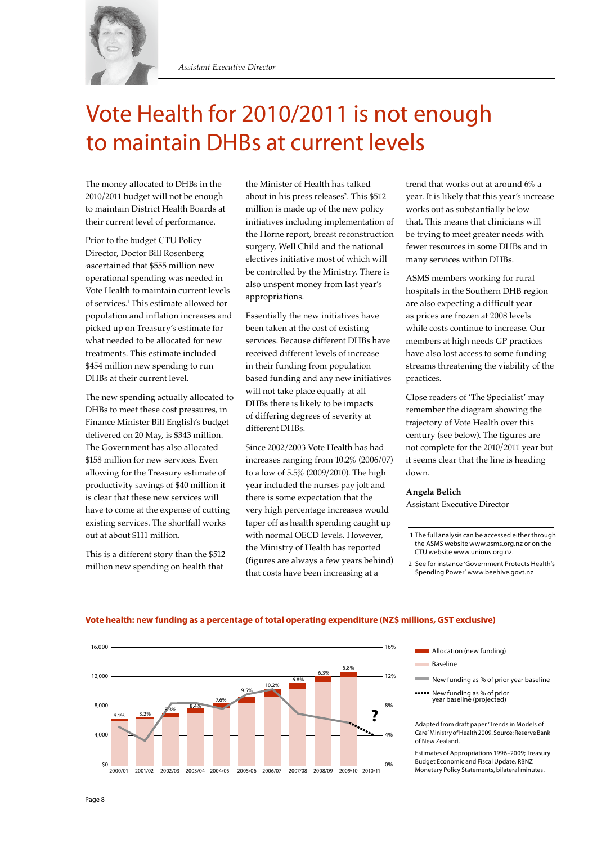

## Vote Health for 2010/2011 is not enough to maintain DHBs at current levels

The money allocated to DHBs in the 2010/2011 budget will not be enough to maintain District Health Boards at their current level of performance.

Prior to the budget CTU Policy Director, Doctor Bill Rosenberg , ascertained that \$555 million new operational spending was needed in Vote Health to maintain current levels of services.1 This estimate allowed for population and inflation increases and picked up on Treasury's estimate for what needed to be allocated for new treatments. This estimate included \$454 million new spending to run DHBs at their current level.

The new spending actually allocated to DHBs to meet these cost pressures, in Finance Minister Bill English's budget delivered on 20 May, is \$343 million. The Government has also allocated \$158 million for new services. Even allowing for the Treasury estimate of productivity savings of \$40 million it is clear that these new services will have to come at the expense of cutting existing services. The shortfall works out at about \$111 million.

This is a different story than the \$512 million new spending on health that

the Minister of Health has talked about in his press releases<sup>2</sup>. This \$512 million is made up of the new policy initiatives including implementation of the Horne report, breast reconstruction surgery, Well Child and the national electives initiative most of which will be controlled by the Ministry. There is also unspent money from last year's appropriations.

Essentially the new initiatives have been taken at the cost of existing services. Because different DHBs have received different levels of increase in their funding from population based funding and any new initiatives will not take place equally at all DHBs there is likely to be impacts of differing degrees of severity at different DHBs.

Since 2002/2003 Vote Health has had increases ranging from 10.2% (2006/07) to a low of 5.5% (2009/2010). The high year included the nurses pay jolt and there is some expectation that the very high percentage increases would taper off as health spending caught up with normal OECD levels. However, the Ministry of Health has reported (figures are always a few years behind) that costs have been increasing at a

trend that works out at around 6% a year. It is likely that this year's increase works out as substantially below that. This means that clinicians will be trying to meet greater needs with fewer resources in some DHBs and in many services within DHBs.

ASMS members working for rural hospitals in the Southern DHB region are also expecting a difficult year as prices are frozen at 2008 levels while costs continue to increase. Our members at high needs GP practices have also lost access to some funding streams threatening the viability of the practices.

Close readers of 'The Specialist' may remember the diagram showing the trajectory of Vote Health over this century (see below). The figures are not complete for the 2010/2011 year but it seems clear that the line is heading down.

#### **Angela Belich** Assistant Executive Director

2 See for instance 'Government Protects Health's Spending Power' www.beehive.govt.nz



#### **Vote health: new funding as a percentage of total operating expenditure (NZ\$ millions, GST exclusive)**

## Baseline

New funding as % of prior year baseline

New funding as % of prior year baseline (projected)

Allocation (new funding)

Adapted from draft paper 'Trends in Models of Care' Ministry of Health 2009. Source: Reserve Bank of New Zealand.

Estimates of Appropriations 1996–2009; Treasury Budget Economic and Fiscal Update, RBNZ Monetary Policy Statements, bilateral minutes.

 <sup>1</sup> The full analysis can be accessed either through the ASMS website www.asms.org.nz or on the CTU website www.unions.org.nz.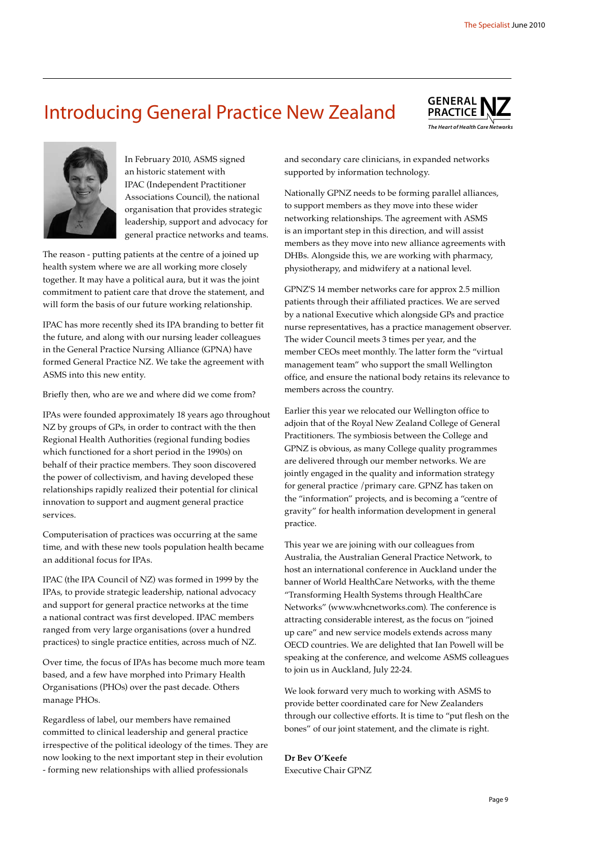## Introducing General Practice New Zealand





In February 2010, ASMS signed an historic statement with IPAC (Independent Practitioner Associations Council), the national organisation that provides strategic leadership, support and advocacy for general practice networks and teams.

The reason - putting patients at the centre of a joined up health system where we are all working more closely together. It may have a political aura, but it was the joint commitment to patient care that drove the statement, and will form the basis of our future working relationship.

IPAC has more recently shed its IPA branding to better fit the future, and along with our nursing leader colleagues in the General Practice Nursing Alliance (GPNA) have formed General Practice NZ. We take the agreement with ASMS into this new entity.

Briefly then, who are we and where did we come from?

IPAs were founded approximately 18 years ago throughout NZ by groups of GPs, in order to contract with the then Regional Health Authorities (regional funding bodies which functioned for a short period in the 1990s) on behalf of their practice members. They soon discovered the power of collectivism, and having developed these relationships rapidly realized their potential for clinical innovation to support and augment general practice services.

Computerisation of practices was occurring at the same time, and with these new tools population health became an additional focus for IPAs.

IPAC (the IPA Council of NZ) was formed in 1999 by the IPAs, to provide strategic leadership, national advocacy and support for general practice networks at the time a national contract was first developed. IPAC members ranged from very large organisations (over a hundred practices) to single practice entities, across much of NZ.

Over time, the focus of IPAs has become much more team based, and a few have morphed into Primary Health Organisations (PHOs) over the past decade. Others manage PHOs.

Regardless of label, our members have remained committed to clinical leadership and general practice irrespective of the political ideology of the times. They are now looking to the next important step in their evolution - forming new relationships with allied professionals

and secondary care clinicians, in expanded networks supported by information technology.

Nationally GPNZ needs to be forming parallel alliances, to support members as they move into these wider networking relationships. The agreement with ASMS is an important step in this direction, and will assist members as they move into new alliance agreements with DHBs. Alongside this, we are working with pharmacy, physiotherapy, and midwifery at a national level.

GPNZ'S 14 member networks care for approx 2.5 million patients through their affiliated practices. We are served by a national Executive which alongside GPs and practice nurse representatives, has a practice management observer. The wider Council meets 3 times per year, and the member CEOs meet monthly. The latter form the "virtual management team" who support the small Wellington office, and ensure the national body retains its relevance to members across the country.

Earlier this year we relocated our Wellington office to adjoin that of the Royal New Zealand College of General Practitioners. The symbiosis between the College and GPNZ is obvious, as many College quality programmes are delivered through our member networks. We are jointly engaged in the quality and information strategy for general practice /primary care. GPNZ has taken on the "information" projects, and is becoming a "centre of gravity" for health information development in general practice.

This year we are joining with our colleagues from Australia, the Australian General Practice Network, to host an international conference in Auckland under the banner of World HealthCare Networks, with the theme "Transforming Health Systems through HealthCare Networks" (www.whcnetworks.com). The conference is attracting considerable interest, as the focus on "joined up care" and new service models extends across many OECD countries. We are delighted that Ian Powell will be speaking at the conference, and welcome ASMS colleagues to join us in Auckland, July 22-24.

We look forward very much to working with ASMS to provide better coordinated care for New Zealanders through our collective efforts. It is time to "put flesh on the bones" of our joint statement, and the climate is right.

**Dr Bev O'Keefe** Executive Chair GPNZ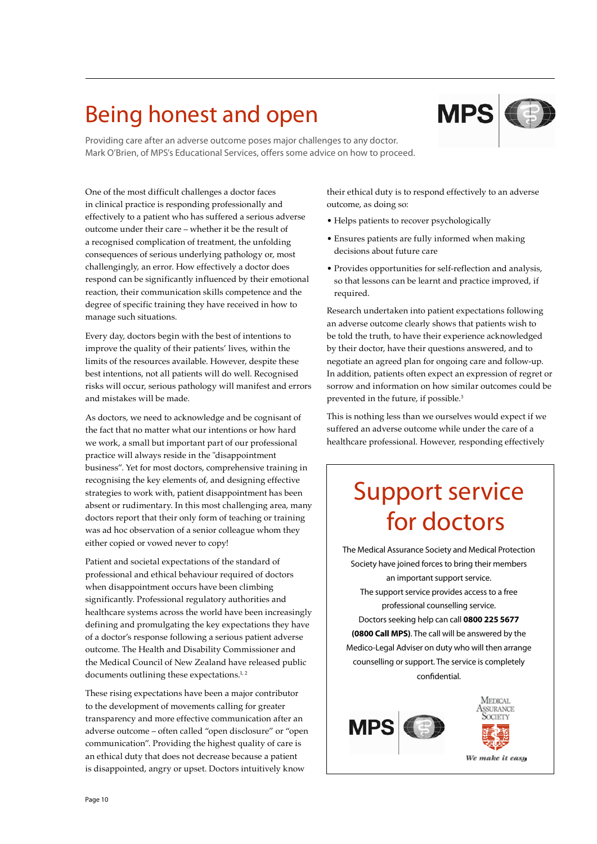## Being honest and open

**MPS** 

Providing care after an adverse outcome poses major challenges to any doctor. Mark O'Brien, of MPS's Educational Services, offers some advice on how to proceed.

One of the most difficult challenges a doctor faces in clinical practice is responding professionally and effectively to a patient who has suffered a serious adverse outcome under their care – whether it be the result of a recognised complication of treatment, the unfolding consequences of serious underlying pathology or, most challengingly, an error. How effectively a doctor does respond can be significantly influenced by their emotional reaction, their communication skills competence and the degree of specific training they have received in how to manage such situations.

Every day, doctors begin with the best of intentions to improve the quality of their patients' lives, within the limits of the resources available. However, despite these best intentions, not all patients will do well. Recognised risks will occur, serious pathology will manifest and errors and mistakes will be made.

As doctors, we need to acknowledge and be cognisant of the fact that no matter what our intentions or how hard we work, a small but important part of our professional practice will always reside in the "disappointment business". Yet for most doctors, comprehensive training in recognising the key elements of, and designing effective strategies to work with, patient disappointment has been absent or rudimentary. In this most challenging area, many doctors report that their only form of teaching or training was ad hoc observation of a senior colleague whom they either copied or vowed never to copy!

Patient and societal expectations of the standard of professional and ethical behaviour required of doctors when disappointment occurs have been climbing significantly. Professional regulatory authorities and healthcare systems across the world have been increasingly defining and promulgating the key expectations they have of a doctor's response following a serious patient adverse outcome. The Health and Disability Commissioner and the Medical Council of New Zealand have released public documents outlining these expectations.<sup>1,2</sup>

These rising expectations have been a major contributor to the development of movements calling for greater transparency and more effective communication after an adverse outcome – often called "open disclosure" or "open communication". Providing the highest quality of care is an ethical duty that does not decrease because a patient is disappointed, angry or upset. Doctors intuitively know

their ethical duty is to respond effectively to an adverse outcome, as doing so:

- Helps patients to recover psychologically
- Ensures patients are fully informed when making decisions about future care
- Provides opportunities for self-reflection and analysis, so that lessons can be learnt and practice improved, if required.

Research undertaken into patient expectations following an adverse outcome clearly shows that patients wish to be told the truth, to have their experience acknowledged by their doctor, have their questions answered, and to negotiate an agreed plan for ongoing care and follow-up. In addition, patients often expect an expression of regret or sorrow and information on how similar outcomes could be prevented in the future, if possible.3

This is nothing less than we ourselves would expect if we suffered an adverse outcome while under the care of a healthcare professional. However, responding effectively

## Support service for doctors

The Medical Assurance Society and Medical Protection Society have joined forces to bring their members an important support service. The support service provides access to a free professional counselling service. Doctors seeking help can call **0800 225 5677 (0800 Call MPS)**. The call will be answered by the Medico-Legal Adviser on duty who will then arrange counselling or support. The service is completely confidential.

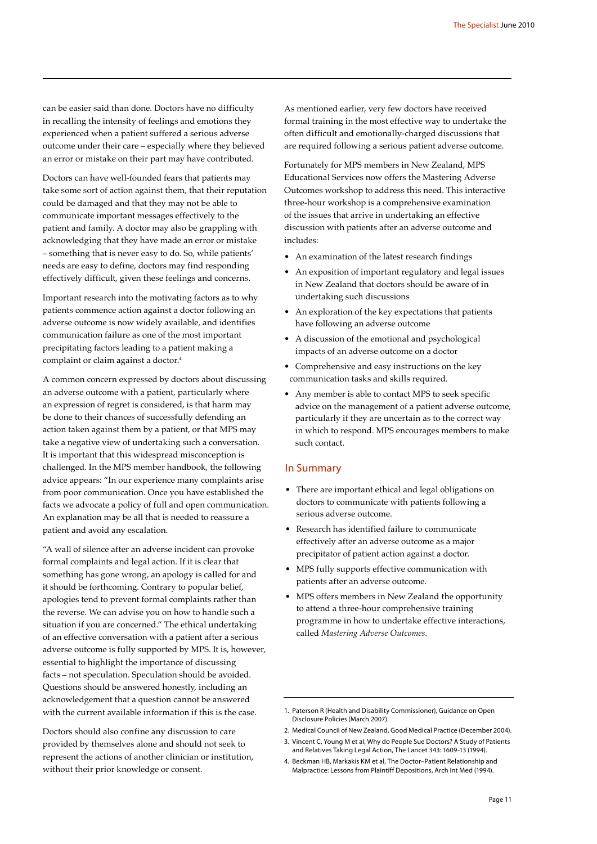can be easier said than done. Doctors have no difficulty in recalling the intensity of feelings and emotions they experienced when a patient suffered a serious adverse outcome under their care – especially where they believed an error or mistake on their part may have contributed.

Doctors can have well-founded fears that patients may take some sort of action against them, that their reputation could be damaged and that they may not be able to communicate important messages effectively to the patient and family. A doctor may also be grappling with acknowledging that they have made an error or mistake – something that is never easy to do. So, while patients' needs are easy to define, doctors may find responding effectively difficult, given these feelings and concerns.

Important research into the motivating factors as to why patients commence action against a doctor following an adverse outcome is now widely available, and identifies communication failure as one of the most important precipitating factors leading to a patient making a complaint or claim against a doctor.<sup>4</sup>

A common concern expressed by doctors about discussing an adverse outcome with a patient, particularly where an expression of regret is considered, is that harm may be done to their chances of successfully defending an action taken against them by a patient, or that MPS may take a negative view of undertaking such a conversation. It is important that this widespread misconception is challenged. In the MPS member handbook, the following advice appears: "In our experience many complaints arise from poor communication. Once you have established the facts we advocate a policy of full and open communication. An explanation may be all that is needed to reassure a patient and avoid any escalation.

"A wall of silence after an adverse incident can provoke formal complaints and legal action. If it is clear that something has gone wrong, an apology is called for and it should be forthcoming. Contrary to popular belief, apologies tend to prevent formal complaints rather than the reverse. We can advise you on how to handle such a situation if you are concerned." The ethical undertaking of an effective conversation with a patient after a serious adverse outcome is fully supported by MPS. It is, however, essential to highlight the importance of discussing facts – not speculation. Speculation should be avoided. Questions should be answered honestly, including an acknowledgement that a question cannot be answered with the current available information if this is the case.

Doctors should also confine any discussion to care provided by themselves alone and should not seek to represent the actions of another clinician or institution, without their prior knowledge or consent.

As mentioned earlier, very few doctors have received formal training in the most effective way to undertake the often difficult and emotionally-charged discussions that are required following a serious patient adverse outcome.

Fortunately for MPS members in New Zealand, MPS Educational Services now offers the Mastering Adverse Outcomes workshop to address this need. This interactive three-hour workshop is a comprehensive examination of the issues that arrive in undertaking an effective discussion with patients after an adverse outcome and includes:

- An examination of the latest research findings
- An exposition of important regulatory and legal issues in New Zealand that doctors should be aware of in undertaking such discussions
- An exploration of the key expectations that patients have following an adverse outcome
- A discussion of the emotional and psychological impacts of an adverse outcome on a doctor
- Comprehensive and easy instructions on the key communication tasks and skills required.
- Any member is able to contact MPS to seek specific advice on the management of a patient adverse outcome, particularly if they are uncertain as to the correct way in which to respond. MPS encourages members to make such contact.

## In Summary

- There are important ethical and legal obligations on doctors to communicate with patients following a serious adverse outcome.
- Research has identified failure to communicate effectively after an adverse outcome as a major precipitator of patient action against a doctor.
- MPS fully supports effective communication with patients after an adverse outcome.
- MPS offers members in New Zealand the opportunity to attend a three-hour comprehensive training programme in how to undertake effective interactions, called *Mastering Adverse Outcomes*.

- 2. Medical Council of New Zealand, Good Medical Practice (December 2004).
- 3. Vincent C, Young M et al, Why do People Sue Doctors? A Study of Patients and Relatives Taking Legal Action, The Lancet 343: 1609-13 (1994).
- 4. Beckman HB, Markakis KM et al, The Doctor–Patient Relationship and Malpractice: Lessons from Plaintiff Depositions, Arch Int Med (1994).

<sup>1.</sup> Paterson R (Health and Disability Commissioner), Guidance on Open Disclosure Policies (March 2007).